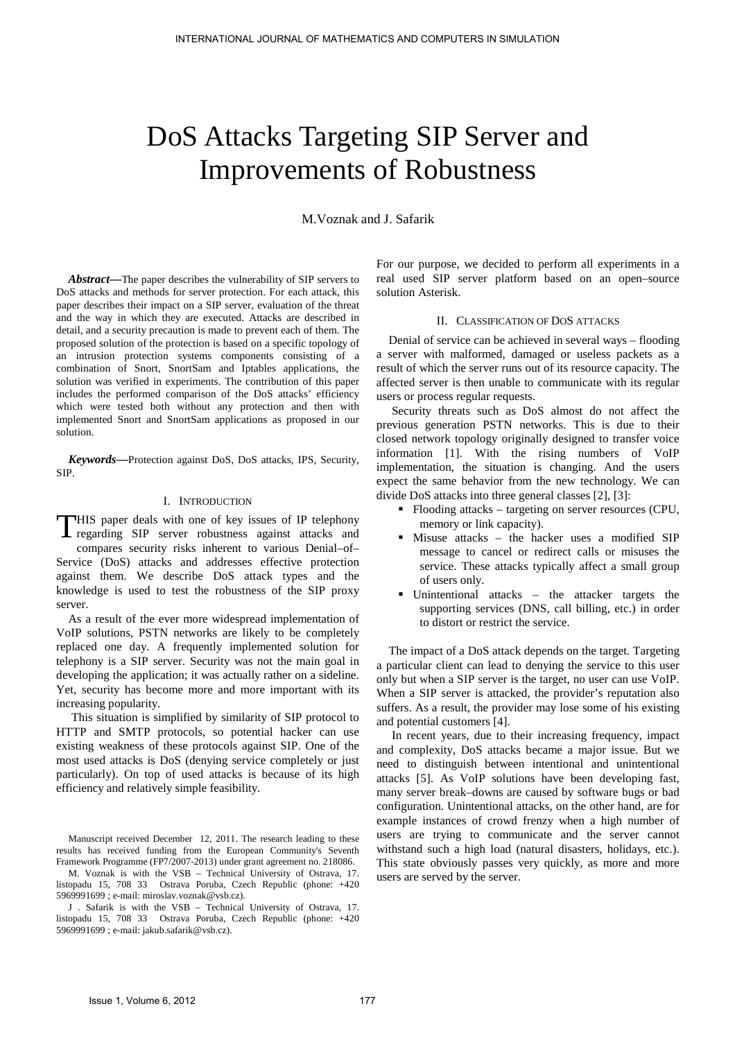# DoS Attacks Targeting SIP Server and Improvements of Robustness

M.Voznak and J. Safarik

*Abstract***—**The paper describes the vulnerability of SIP servers to DoS attacks and methods for server protection. For each attack, this paper describes their impact on a SIP server, evaluation of the threat and the way in which they are executed. Attacks are described in detail, and a security precaution is made to prevent each of them. The proposed solution of the protection is based on a specific topology of an intrusion protection systems components consisting of a combination of Snort, SnortSam and Iptables applications, the solution was verified in experiments. The contribution of this paper includes the performed comparison of the DoS attacks' efficiency which were tested both without any protection and then with implemented Snort and SnortSam applications as proposed in our solution.

*Keywords***—**Protection against DoS, DoS attacks, IPS, Security, SIP.

## I. INTRODUCTION

 $\Box$ HIS paper deals with one of key issues of IP telephony THIS paper deals with one of key issues of IP telephony regarding SIP server robustness against attacks and compares security risks inherent to various Denial–of– Service (DoS) attacks and addresses effective protection against them. We describe DoS attack types and the knowledge is used to test the robustness of the SIP proxy server.

As a result of the ever more widespread implementation of VoIP solutions, PSTN networks are likely to be completely replaced one day. A frequently implemented solution for telephony is a SIP server. Security was not the main goal in developing the application; it was actually rather on a sideline. Yet, security has become more and more important with its increasing popularity.

 This situation is simplified by similarity of SIP protocol to HTTP and SMTP protocols, so potential hacker can use existing weakness of these protocols against SIP. One of the most used attacks is DoS (denying service completely or just particularly). On top of used attacks is because of its high efficiency and relatively simple feasibility.

J . Safarik is with the VSB – Technical University of Ostrava, 17. listopadu 15, 708 33 Ostrava Poruba, Czech Republic (phone: +420 5969991699 ; e-mail: jakub.safarik@vsb.cz).

For our purpose, we decided to perform all experiments in a real used SIP server platform based on an open–source solution Asterisk.

## II. CLASSIFICATION OF DOS ATTACKS

Denial of service can be achieved in several ways – flooding a server with malformed, damaged or useless packets as a result of which the server runs out of its resource capacity. The affected server is then unable to communicate with its regular users or process regular requests.

 Security threats such as DoS almost do not affect the previous generation PSTN networks. This is due to their closed network topology originally designed to transfer voice information [1]. With the rising numbers of VoIP implementation, the situation is changing. And the users expect the same behavior from the new technology. We can divide DoS attacks into three general classes [2], [3]:

- Flooding attacks targeting on server resources (CPU, memory or link capacity).
- Misuse attacks the hacker uses a modified SIP message to cancel or redirect calls or misuses the service. These attacks typically affect a small group of users only.
- Unintentional attacks the attacker targets the supporting services (DNS, call billing, etc.) in order to distort or restrict the service.

The impact of a DoS attack depends on the target. Targeting a particular client can lead to denying the service to this user only but when a SIP server is the target, no user can use VoIP. When a SIP server is attacked, the provider's reputation also suffers. As a result, the provider may lose some of his existing and potential customers [4].

 In recent years, due to their increasing frequency, impact and complexity, DoS attacks became a major issue. But we need to distinguish between intentional and unintentional attacks [5]. As VoIP solutions have been developing fast, many server break–downs are caused by software bugs or bad configuration. Unintentional attacks, on the other hand, are for example instances of crowd frenzy when a high number of users are trying to communicate and the server cannot withstand such a high load (natural disasters, holidays, etc.). This state obviously passes very quickly, as more and more users are served by the server.

Manuscript received December 12, 2011. The research leading to these results has received funding from the European Community's Seventh Framework Programme (FP7/2007-2013) under grant agreement no. 218086.

M. Voznak is with the VSB – Technical University of Ostrava, 17. listopadu 15, 708 33 Ostrava Poruba, Czech Republic (phone: +420 5969991699 ; e-mail: miroslav.voznak@vsb.cz).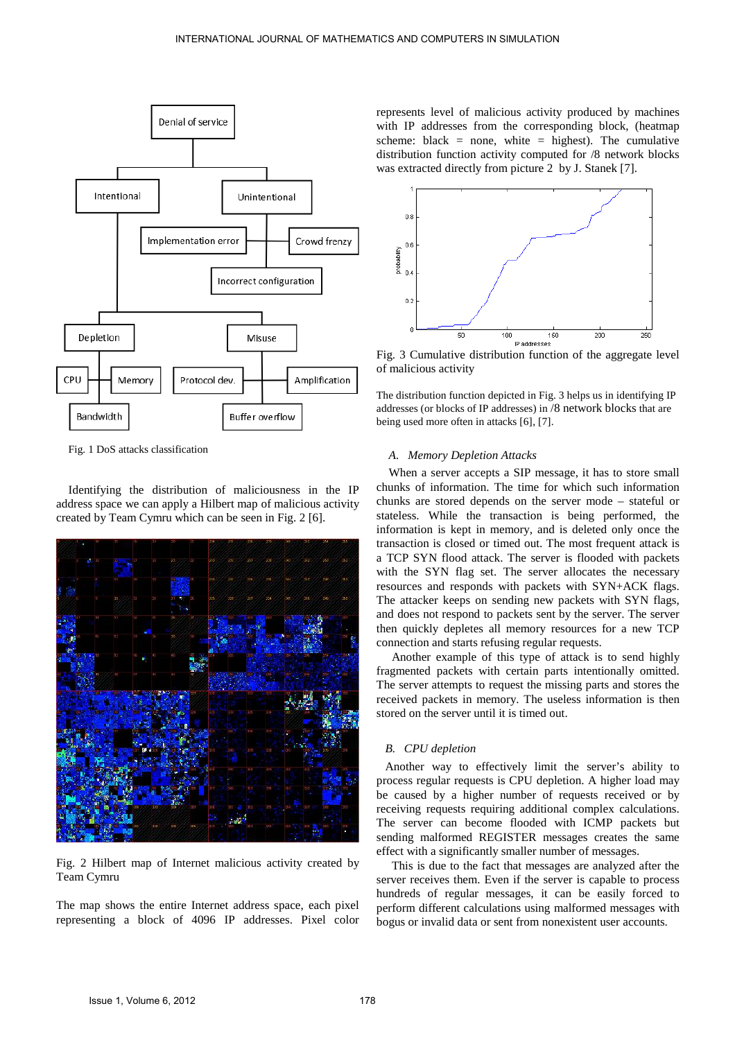

Fig. 1 DoS attacks classification

Identifying the distribution of maliciousness in the IP address space we can apply a Hilbert map of malicious activity created by Team Cymru which can be seen in Fig. 2 [6].



Fig. 2 Hilbert map of Internet malicious activity created by Team Cymru

The map shows the entire Internet address space, each pixel representing a block of 4096 IP addresses. Pixel color represents level of malicious activity produced by machines with IP addresses from the corresponding block, (heatmap scheme: black = none, white = highest). The cumulative distribution function activity computed for /8 network blocks was extracted directly from picture 2 by J. Stanek [7].



Fig. 3 Cumulative distribution function of the aggregate level of malicious activity

The distribution function depicted in Fig. 3 helps us in identifying IP addresses (or blocks of IP addresses) in /8 network blocks that are being used more often in attacks [6], [7].

## *A. Memory Depletion Attacks*

When a server accepts a SIP message, it has to store small chunks of information. The time for which such information chunks are stored depends on the server mode – stateful or stateless. While the transaction is being performed, the information is kept in memory, and is deleted only once the transaction is closed or timed out. The most frequent attack is a TCP SYN flood attack. The server is flooded with packets with the SYN flag set. The server allocates the necessary resources and responds with packets with SYN+ACK flags. The attacker keeps on sending new packets with SYN flags, and does not respond to packets sent by the server. The server then quickly depletes all memory resources for a new TCP connection and starts refusing regular requests.

 Another example of this type of attack is to send highly fragmented packets with certain parts intentionally omitted. The server attempts to request the missing parts and stores the received packets in memory. The useless information is then stored on the server until it is timed out.

## *B. CPU depletion*

Another way to effectively limit the server's ability to process regular requests is CPU depletion. A higher load may be caused by a higher number of requests received or by receiving requests requiring additional complex calculations. The server can become flooded with ICMP packets but sending malformed REGISTER messages creates the same effect with a significantly smaller number of messages.

 This is due to the fact that messages are analyzed after the server receives them. Even if the server is capable to process hundreds of regular messages, it can be easily forced to perform different calculations using malformed messages with bogus or invalid data or sent from nonexistent user accounts.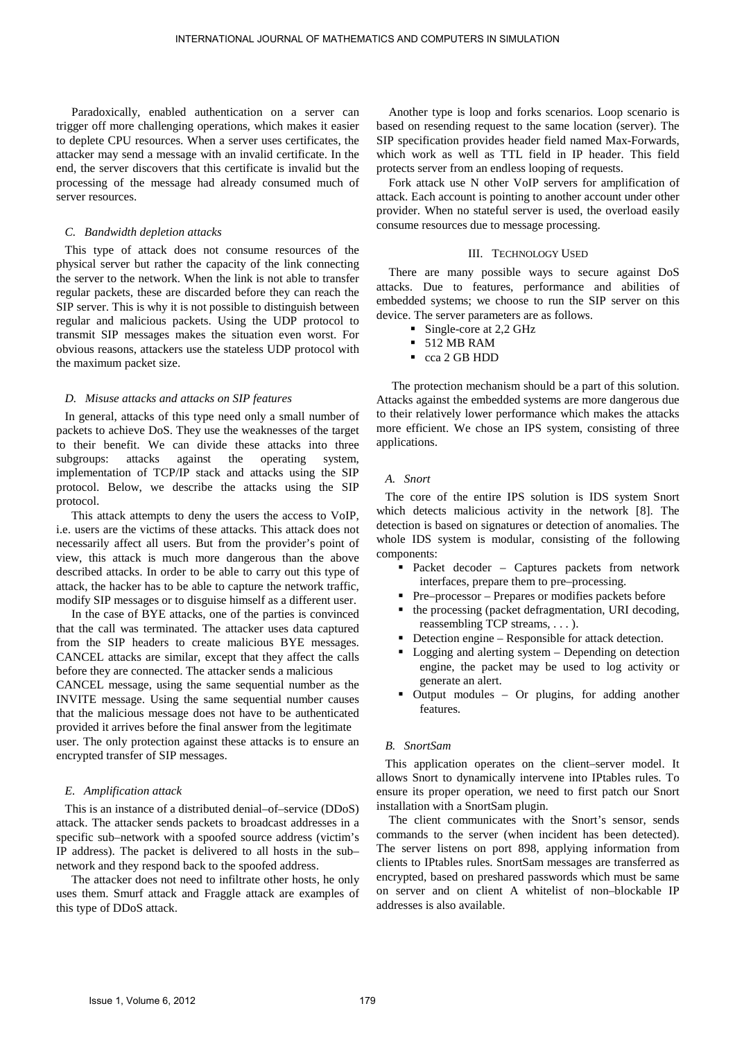Paradoxically, enabled authentication on a server can trigger off more challenging operations, which makes it easier to deplete CPU resources. When a server uses certificates, the attacker may send a message with an invalid certificate. In the end, the server discovers that this certificate is invalid but the processing of the message had already consumed much of server resources.

#### *C. Bandwidth depletion attacks*

This type of attack does not consume resources of the physical server but rather the capacity of the link connecting the server to the network. When the link is not able to transfer regular packets, these are discarded before they can reach the SIP server. This is why it is not possible to distinguish between regular and malicious packets. Using the UDP protocol to transmit SIP messages makes the situation even worst. For obvious reasons, attackers use the stateless UDP protocol with the maximum packet size.

## *D. Misuse attacks and attacks on SIP features*

In general, attacks of this type need only a small number of packets to achieve DoS. They use the weaknesses of the target to their benefit. We can divide these attacks into three subgroups: attacks against the operating system, implementation of TCP/IP stack and attacks using the SIP protocol. Below, we describe the attacks using the SIP protocol.

 This attack attempts to deny the users the access to VoIP, i.e. users are the victims of these attacks. This attack does not necessarily affect all users. But from the provider's point of view, this attack is much more dangerous than the above described attacks. In order to be able to carry out this type of attack, the hacker has to be able to capture the network traffic, modify SIP messages or to disguise himself as a different user.

 In the case of BYE attacks, one of the parties is convinced that the call was terminated. The attacker uses data captured from the SIP headers to create malicious BYE messages. CANCEL attacks are similar, except that they affect the calls before they are connected. The attacker sends a malicious

CANCEL message, using the same sequential number as the INVITE message. Using the same sequential number causes that the malicious message does not have to be authenticated provided it arrives before the final answer from the legitimate user. The only protection against these attacks is to ensure an encrypted transfer of SIP messages.

## *E. Amplification attack*

This is an instance of a distributed denial–of–service (DDoS) attack. The attacker sends packets to broadcast addresses in a specific sub–network with a spoofed source address (victim's IP address). The packet is delivered to all hosts in the sub– network and they respond back to the spoofed address.

 The attacker does not need to infiltrate other hosts, he only uses them. Smurf attack and Fraggle attack are examples of this type of DDoS attack.

 Another type is loop and forks scenarios. Loop scenario is based on resending request to the same location (server). The SIP specification provides header field named Max-Forwards, which work as well as TTL field in IP header. This field protects server from an endless looping of requests.

 Fork attack use N other VoIP servers for amplification of attack. Each account is pointing to another account under other provider. When no stateful server is used, the overload easily consume resources due to message processing.

### III. TECHNOLOGY USED

There are many possible ways to secure against DoS attacks. Due to features, performance and abilities of embedded systems; we choose to run the SIP server on this device. The server parameters are as follows.

- Single-core at 2,2 GHz
- **512 MB RAM**
- cca 2 GB HDD

 The protection mechanism should be a part of this solution. Attacks against the embedded systems are more dangerous due to their relatively lower performance which makes the attacks more efficient. We chose an IPS system, consisting of three applications.

## *A. Snort*

The core of the entire IPS solution is IDS system Snort which detects malicious activity in the network [8]. The detection is based on signatures or detection of anomalies. The whole IDS system is modular, consisting of the following components:

- Packet decoder Captures packets from network interfaces, prepare them to pre–processing.
- Pre–processor Prepares or modifies packets before
- the processing (packet defragmentation, URI decoding, reassembling TCP streams, . . . ).
- Detection engine Responsible for attack detection.
- Logging and alerting system Depending on detection engine, the packet may be used to log activity or generate an alert.
- Output modules Or plugins, for adding another features.

## *B. SnortSam*

This application operates on the client–server model. It allows Snort to dynamically intervene into IPtables rules. To ensure its proper operation, we need to first patch our Snort installation with a SnortSam plugin.

 The client communicates with the Snort's sensor, sends commands to the server (when incident has been detected). The server listens on port 898, applying information from clients to IPtables rules. SnortSam messages are transferred as encrypted, based on preshared passwords which must be same on server and on client A whitelist of non–blockable IP addresses is also available.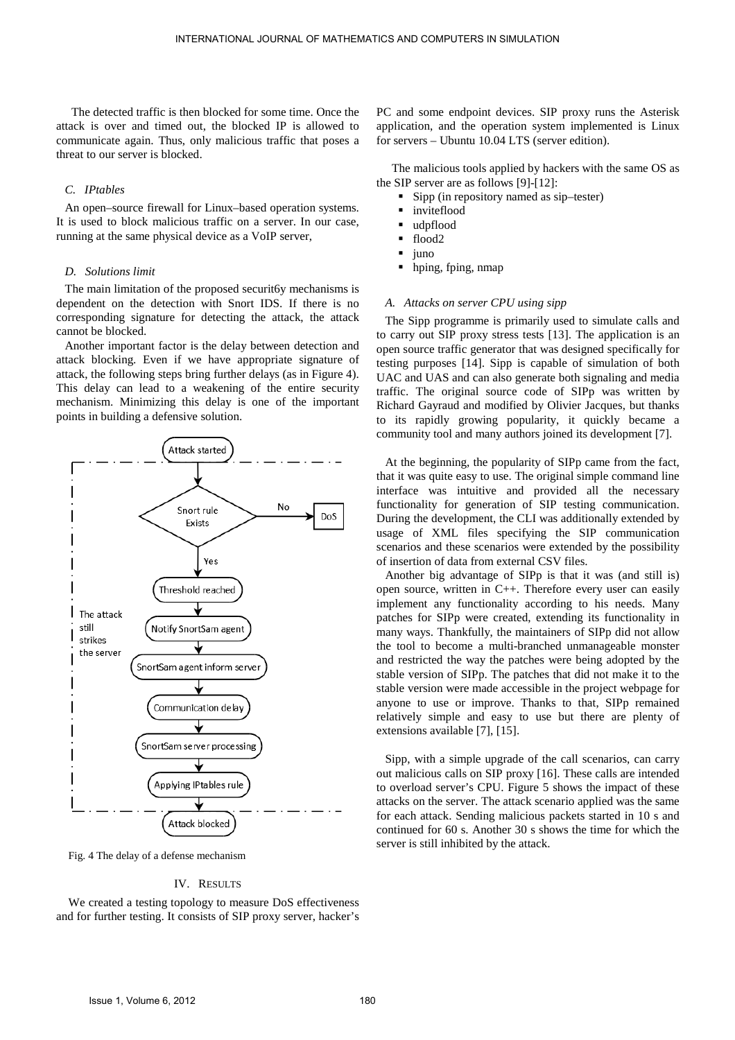The detected traffic is then blocked for some time. Once the attack is over and timed out, the blocked IP is allowed to communicate again. Thus, only malicious traffic that poses a threat to our server is blocked.

## *C. IPtables*

An open–source firewall for Linux–based operation systems. It is used to block malicious traffic on a server. In our case, running at the same physical device as a VoIP server,

## *D. Solutions limit*

The main limitation of the proposed securit6y mechanisms is dependent on the detection with Snort IDS. If there is no corresponding signature for detecting the attack, the attack cannot be blocked.

Another important factor is the delay between detection and attack blocking. Even if we have appropriate signature of attack, the following steps bring further delays (as in Figure 4). This delay can lead to a weakening of the entire security mechanism. Minimizing this delay is one of the important points in building a defensive solution.



Fig. 4 The delay of a defense mechanism

## IV. RESULTS

We created a testing topology to measure DoS effectiveness and for further testing. It consists of SIP proxy server, hacker's PC and some endpoint devices. SIP proxy runs the Asterisk application, and the operation system implemented is Linux for servers – Ubuntu 10.04 LTS (server edition).

 The malicious tools applied by hackers with the same OS as the SIP server are as follows [9]-[12]:

- Sipp (in repository named as sip–tester)
- **n** inviteflood
- udpflood
- flood2
- iuno
- hping, fping, nmap

## *A. Attacks on server CPU using sipp*

The Sipp programme is primarily used to simulate calls and to carry out SIP proxy stress tests [13]. The application is an open source traffic generator that was designed specifically for testing purposes [14]. Sipp is capable of simulation of both UAC and UAS and can also generate both signaling and media traffic. The original source code of SIPp was written by Richard Gayraud and modified by Olivier Jacques, but thanks to its rapidly growing popularity, it quickly became a community tool and many authors joined its development [7].

At the beginning, the popularity of SIPp came from the fact, that it was quite easy to use. The original simple command line interface was intuitive and provided all the necessary functionality for generation of SIP testing communication. During the development, the CLI was additionally extended by usage of XML files specifying the SIP communication scenarios and these scenarios were extended by the possibility of insertion of data from external CSV files.

Another big advantage of SIPp is that it was (and still is) open source, written in C++. Therefore every user can easily implement any functionality according to his needs. Many patches for SIPp were created, extending its functionality in many ways. Thankfully, the maintainers of SIPp did not allow the tool to become a multi-branched unmanageable monster and restricted the way the patches were being adopted by the stable version of SIPp. The patches that did not make it to the stable version were made accessible in the project webpage for anyone to use or improve. Thanks to that, SIPp remained relatively simple and easy to use but there are plenty of extensions available [7], [15].

Sipp, with a simple upgrade of the call scenarios, can carry out malicious calls on SIP proxy [16]. These calls are intended to overload server's CPU. Figure 5 shows the impact of these attacks on the server. The attack scenario applied was the same for each attack. Sending malicious packets started in 10 s and continued for 60 s. Another 30 s shows the time for which the server is still inhibited by the attack.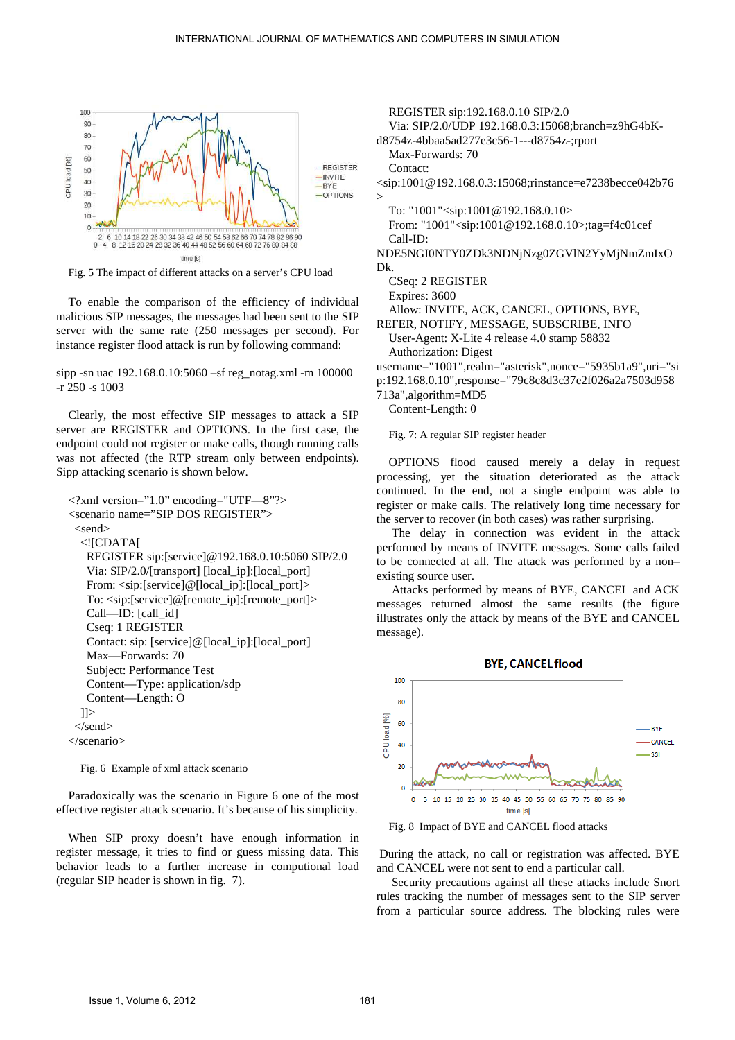

Fig. 5 The impact of different attacks on a server's CPU load

To enable the comparison of the efficiency of individual malicious SIP messages, the messages had been sent to the SIP server with the same rate (250 messages per second). For instance register flood attack is run by following command:

sipp -sn uac 192.168.0.10:5060 –sf reg\_notag.xml -m 100000 -r 250 -s 1003

Clearly, the most effective SIP messages to attack a SIP server are REGISTER and OPTIONS. In the first case, the endpoint could not register or make calls, though running calls was not affected (the RTP stream only between endpoints). Sipp attacking scenario is shown below.

```
<?xml version="1.0" encoding="UTF—8"?> 
<scenario name="SIP DOS REGISTER"> 
 <send>
   <![CDATA[ 
    REGISTER sip:[service]@192.168.0.10:5060 SIP/2.0 
    Via: SIP/2.0/[transport] [local_ip]:[local_port] 
    From: <sip:[service]@[local_ip]:[local_port]> 
    To: <sip:[service]@[remote_ip]:[remote_port]> 
    Call—ID: [call_id] 
    Cseq: 1 REGISTER 
    Contact: sip: [service]@[local_ip]:[local_port] 
    Max—Forwards: 70 
    Subject: Performance Test 
    Content—Type: application/sdp 
    Content—Length: O 
  ] </send> 
</scenario>
```
Fig. 6 Example of xml attack scenario

Paradoxically was the scenario in Figure 6 one of the most effective register attack scenario. It's because of his simplicity.

When SIP proxy doesn't have enough information in register message, it tries to find or guess missing data. This behavior leads to a further increase in computional load (regular SIP header is shown in fig. 7).

REGISTER sip:192.168.0.10 SIP/2.0

Via: SIP/2.0/UDP 192.168.0.3:15068;branch=z9hG4bK-

d8754z-4bbaa5ad277e3c56-1---d8754z-;rport

Max-Forwards: 70

Contact:

<sip:1001@192.168.0.3:15068;rinstance=e7238becce042b76 >

To: "1001"<sip:1001@192.168.0.10> From: "1001"<sip:1001@192.168.0.10>;tag=f4c01cef Call-ID:

NDE5NGI0NTY0ZDk3NDNjNzg0ZGVlN2YyMjNmZmIxO Dk.

CSeq: 2 REGISTER

Expires: 3600

Allow: INVITE, ACK, CANCEL, OPTIONS, BYE,

REFER, NOTIFY, MESSAGE, SUBSCRIBE, INFO User-Agent: X-Lite 4 release 4.0 stamp 58832 Authorization: Digest

username="1001",realm="asterisk",nonce="5935b1a9",uri="si

p:192.168.0.10",response="79c8c8d3c37e2f026a2a7503d958

713a",algorithm=MD5

Content-Length: 0

Fig. 7: A regular SIP register header

OPTIONS flood caused merely a delay in request processing, yet the situation deteriorated as the attack continued. In the end, not a single endpoint was able to register or make calls. The relatively long time necessary for the server to recover (in both cases) was rather surprising.

 The delay in connection was evident in the attack performed by means of INVITE messages. Some calls failed to be connected at all. The attack was performed by a non– existing source user.

 Attacks performed by means of BYE, CANCEL and ACK messages returned almost the same results (the figure illustrates only the attack by means of the BYE and CANCEL message).



Fig. 8 Impact of BYE and CANCEL flood attacks

 During the attack, no call or registration was affected. BYE and CANCEL were not sent to end a particular call.

 Security precautions against all these attacks include Snort rules tracking the number of messages sent to the SIP server from a particular source address. The blocking rules were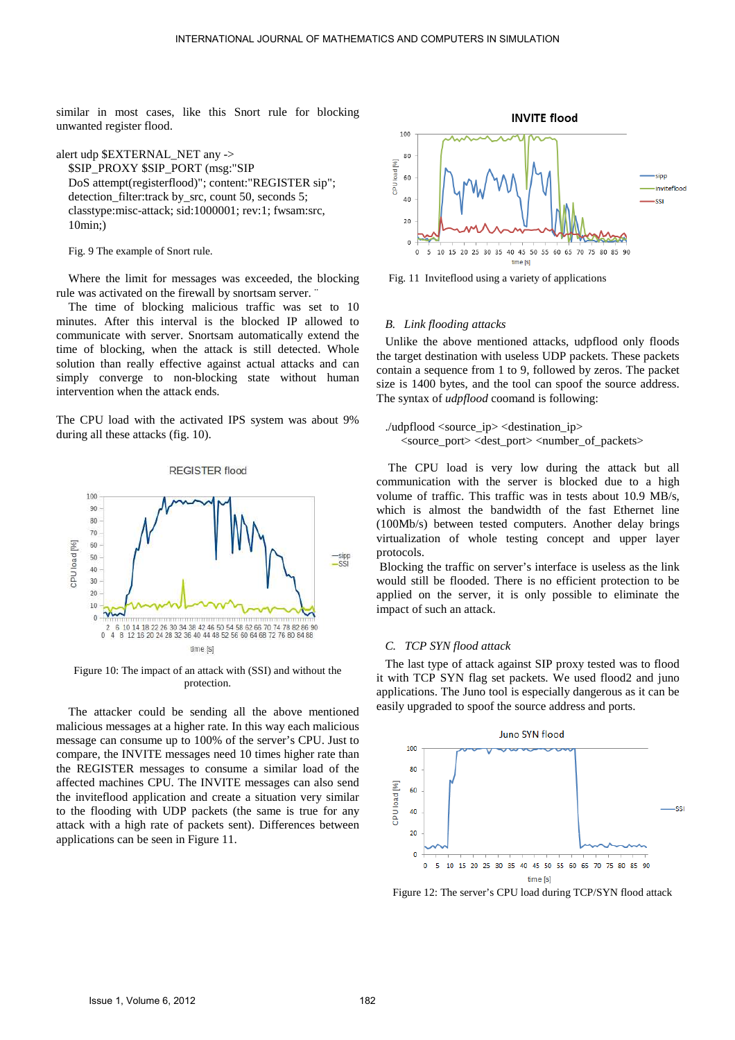similar in most cases, like this Snort rule for blocking unwanted register flood.

alert udp \$EXTERNAL\_NET any -> \$SIP\_PROXY \$SIP\_PORT (msg:"SIP DoS attempt(registerflood)"; content:"REGISTER sip"; detection filter:track by src, count 50, seconds 5; classtype:misc-attack; sid:1000001; rev:1; fwsam:src, 10min;)

Fig. 9 The example of Snort rule.

Where the limit for messages was exceeded, the blocking rule was activated on the firewall by snortsam server. ¨

The time of blocking malicious traffic was set to 10 minutes. After this interval is the blocked IP allowed to communicate with server. Snortsam automatically extend the time of blocking, when the attack is still detected. Whole solution than really effective against actual attacks and can simply converge to non-blocking state without human intervention when the attack ends.

The CPU load with the activated IPS system was about 9% during all these attacks (fig. 10).



Figure 10: The impact of an attack with (SSI) and without the protection.

The attacker could be sending all the above mentioned malicious messages at a higher rate. In this way each malicious message can consume up to 100% of the server's CPU. Just to compare, the INVITE messages need 10 times higher rate than the REGISTER messages to consume a similar load of the affected machines CPU. The INVITE messages can also send the inviteflood application and create a situation very similar to the flooding with UDP packets (the same is true for any attack with a high rate of packets sent). Differences between applications can be seen in Figure 11.



Fig. 11 Inviteflood using a variety of applications

### *B. Link flooding attacks*

Unlike the above mentioned attacks, udpflood only floods the target destination with useless UDP packets. These packets contain a sequence from 1 to 9, followed by zeros. The packet size is 1400 bytes, and the tool can spoof the source address. The syntax of *udpflood* coomand is following:

./udpflood <source\_ip> <destination\_ip>  $\leq$ source port $>$  $\leq$ dest port $>$  $\leq$ number of packets $>$ 

 The CPU load is very low during the attack but all communication with the server is blocked due to a high volume of traffic. This traffic was in tests about 10.9 MB/s, which is almost the bandwidth of the fast Ethernet line (100Mb/s) between tested computers. Another delay brings virtualization of whole testing concept and upper layer protocols.

 Blocking the traffic on server's interface is useless as the link would still be flooded. There is no efficient protection to be applied on the server, it is only possible to eliminate the impact of such an attack.

#### *C. TCP SYN flood attack*

The last type of attack against SIP proxy tested was to flood it with TCP SYN flag set packets. We used flood2 and juno applications. The Juno tool is especially dangerous as it can be easily upgraded to spoof the source address and ports.



Figure 12: The server's CPU load during TCP/SYN flood attack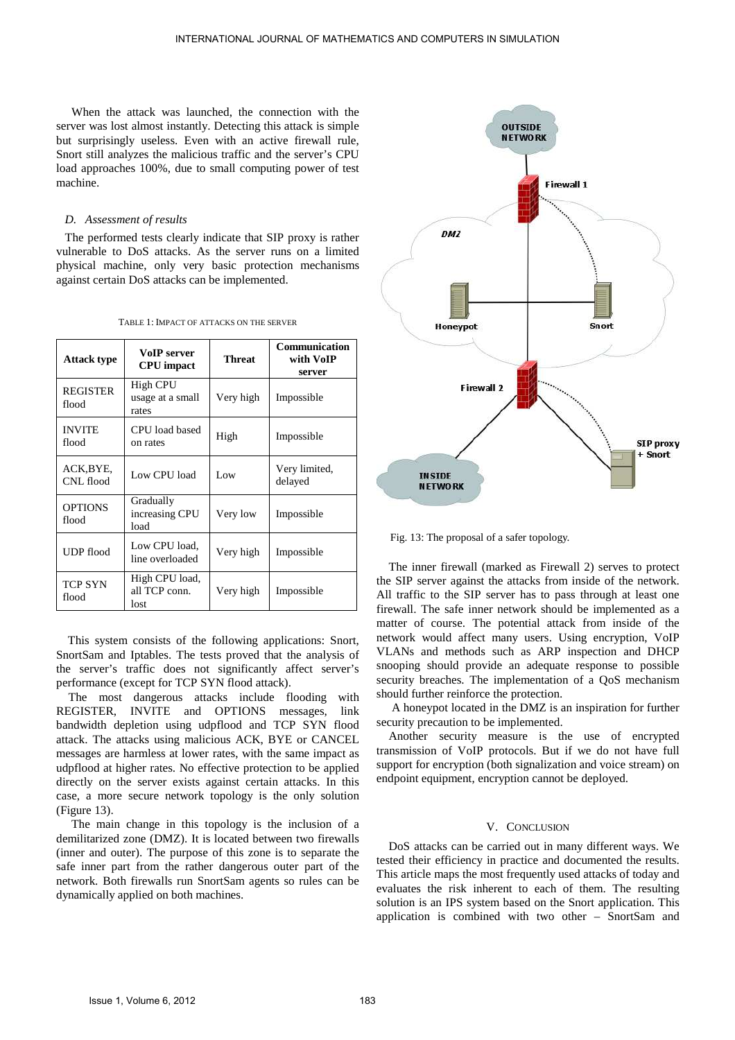When the attack was launched, the connection with the server was lost almost instantly. Detecting this attack is simple but surprisingly useless. Even with an active firewall rule, Snort still analyzes the malicious traffic and the server's CPU load approaches 100%, due to small computing power of test machine.

#### *D. Assessment of results*

The performed tests clearly indicate that SIP proxy is rather vulnerable to DoS attacks. As the server runs on a limited physical machine, only very basic protection mechanisms against certain DoS attacks can be implemented.

TABLE 1: IMPACT OF ATTACKS ON THE SERVER

| <b>Attack type</b>       | VoIP server<br><b>CPU</b> impact             | Threat    | <b>Communication</b><br>with VoIP<br>server |
|--------------------------|----------------------------------------------|-----------|---------------------------------------------|
| <b>REGISTER</b><br>flood | <b>High CPU</b><br>usage at a small<br>rates | Very high | Impossible                                  |
| <b>INVITE</b><br>flood   | CPU load based<br>on rates                   | High      | Impossible                                  |
| ACK,BYE,<br>CNL flood    | Low CPU load                                 | Low       | Very limited,<br>delayed                    |
| <b>OPTIONS</b><br>flood  | Gradually<br>increasing CPU<br>load          | Very low  | Impossible                                  |
| <b>UDP</b> flood         | Low CPU load,<br>line overloaded             | Very high | Impossible                                  |
| <b>TCP SYN</b><br>flood  | High CPU load,<br>all TCP conn.<br>lost      | Very high | Impossible                                  |

 This system consists of the following applications: Snort, SnortSam and Iptables. The tests proved that the analysis of the server's traffic does not significantly affect server's performance (except for TCP SYN flood attack).

 The most dangerous attacks include flooding with REGISTER, INVITE and OPTIONS messages, link bandwidth depletion using udpflood and TCP SYN flood attack. The attacks using malicious ACK, BYE or CANCEL messages are harmless at lower rates, with the same impact as udpflood at higher rates. No effective protection to be applied directly on the server exists against certain attacks. In this case, a more secure network topology is the only solution (Figure 13).

 The main change in this topology is the inclusion of a demilitarized zone (DMZ). It is located between two firewalls (inner and outer). The purpose of this zone is to separate the safe inner part from the rather dangerous outer part of the network. Both firewalls run SnortSam agents so rules can be dynamically applied on both machines.



Fig. 13: The proposal of a safer topology.

The inner firewall (marked as Firewall 2) serves to protect the SIP server against the attacks from inside of the network. All traffic to the SIP server has to pass through at least one firewall. The safe inner network should be implemented as a matter of course. The potential attack from inside of the network would affect many users. Using encryption, VoIP VLANs and methods such as ARP inspection and DHCP snooping should provide an adequate response to possible security breaches. The implementation of a QoS mechanism should further reinforce the protection.

 A honeypot located in the DMZ is an inspiration for further security precaution to be implemented.

 Another security measure is the use of encrypted transmission of VoIP protocols. But if we do not have full support for encryption (both signalization and voice stream) on endpoint equipment, encryption cannot be deployed.

#### V. CONCLUSION

DoS attacks can be carried out in many different ways. We tested their efficiency in practice and documented the results. This article maps the most frequently used attacks of today and evaluates the risk inherent to each of them. The resulting solution is an IPS system based on the Snort application. This application is combined with two other – SnortSam and